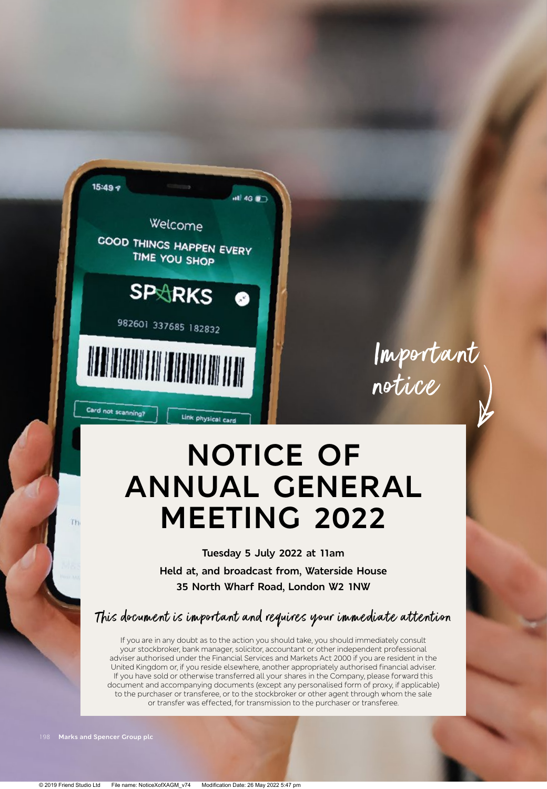

Important notice

# **NOTICE OF ANNUAL GENERAL MEETING 2022**

**Tuesday 5 July 2022 at 11am Held at, and broadcast from, Waterside House 35 North Wharf Road, London W2 1NW**

This document is important and requires your immediate attention

If you are in any doubt as to the action you should take, you should immediately consult your stockbroker, bank manager, solicitor, accountant or other independent professional adviser authorised under the Financial Services and Markets Act 2000 if you are resident in the United Kingdom or, if you reside elsewhere, another appropriately authorised financial adviser. If you have sold or otherwise transferred all your shares in the Company, please forward this document and accompanying documents (except any personalised form of proxy, if applicable) to the purchaser or transferee, or to the stockbroker or other agent through whom the sale or transfer was effected, for transmission to the purchaser or transferee.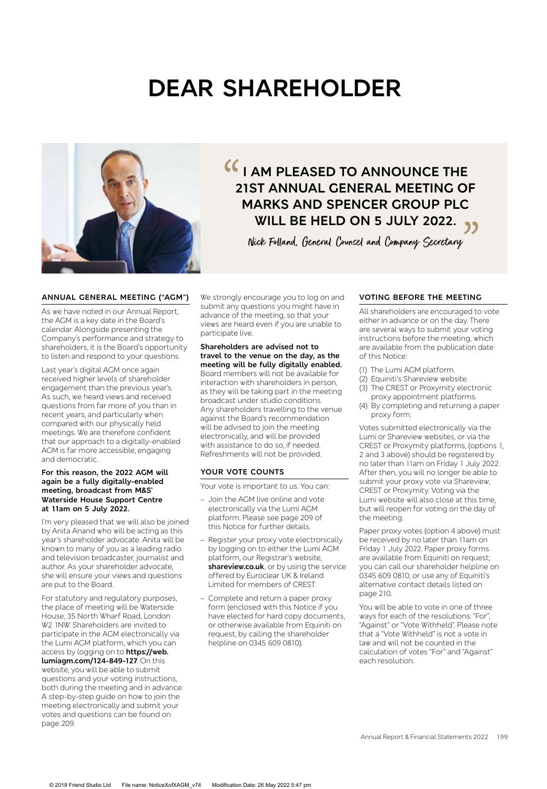# **DEAR SHAREHOLDER**



# **I AM PLEASED TO ANNOUNCE THE 21ST ANNUAL GENERAL MEETING OF MARKS AND SPENCER GROUP PLC WILL BE HELD ON 5 JULY 2022.**  $\frac{1}{2}$ **))**<br>ETING

Nick Folland, General Counsel and Company Secretary

#### **ANNUAL GENERAL MEETING ("AGM")**

As we have noted in our Annual Report, the AGM is a key date in the Board's calendar. Alongside presenting the Company's performance and strategy to shareholders, it is the Board's opportunity to listen and respond to your questions.

Last year's digital AGM once again received higher levels of shareholder engagement than the previous year's. As such, we heard views and received questions from far more of you than in recent years, and particularly when compared with our physically held meetings. We are therefore confident that our approach to a digitally-enabled AGM is far more accessible, engaging and democratic.

#### **For this reason, the 2022 AGM will again be a fully digitally-enabled meeting, broadcast from M&S' Waterside House Support Centre at 11am on 5 July 2022.**

I'm very pleased that we will also be joined by Anita Anand who will be acting as this year's shareholder advocate. Anita will be known to many of you as a leading radio and television broadcaster, journalist and author. As your shareholder advocate, she will ensure your views and questions are put to the Board.

For statutory and regulatory purposes, the place of meeting will be Waterside House, 35 North Wharf Road, London W2 1NW. Shareholders are invited to participate in the AGM electronically via the Lumi AGM platform, which you can access by logging on to **https://web. lumiagm.com/124-849-127**. On this website, you will be able to submit questions and your voting instructions, both during the meeting and in advance. A step-by-step guide on how to join the meeting electronically and submit your votes and questions can be found on page 209.

We strongly encourage you to log on and submit any questions you might have in advance of the meeting, so that your views are heard even if you are unable to participate live.

**Shareholders are advised not to travel to the venue on the day, as the meeting will be fully digitally enabled.**  Board members will not be available for interaction with shareholders in person, as they will be taking part in the meeting broadcast under studio conditions. Any shareholders travelling to the venue against the Board's recommendation will be advised to join the meeting electronically, and will be provided with assistance to do so, if needed. Refreshments will not be provided.

#### **YOUR VOTE COUNTS**

Your vote is important to us. You can:

- Join the AGM live online and vote electronically via the Lumi AGM platform. Please see page 209 of this Notice for further details.
- Register your proxy vote electronically by logging on to either the Lumi AGM platform, our Registrar's website, **shareview.co.uk**, or by using the service offered by Euroclear UK & Ireland Limited for members of CREST.
- Complete and return a paper proxy form (enclosed with this Notice if you have elected for hard copy documents, or otherwise available from Equiniti on request, by calling the shareholder helpline on 0345 609 0810).

## **VOTING BEFORE THE MEETING**

All shareholders are encouraged to vote either in advance or on the day. There are several ways to submit your voting instructions before the meeting, which are available from the publication date of this Notice:

- (1) The Lumi AGM platform.
- (2) Equiniti's Shareview website.
- (3) The CREST or Proxymity electronic proxy appointment platforms.
- (4) By completing and returning a paper proxy form.

Votes submitted electronically via the Lumi or Shareview websites, or via the CREST or Proxymity platforms, (options 1, 2 and 3 above) should be registered by no later than 11am on Friday 1 July 2022. After then, you will no longer be able to submit your proxy vote via Shareview, CREST or Proxymity. Voting via the Lumi website will also close at this time, but will reopen for voting on the day of the meeting.

Paper proxy votes (option 4 above) must be received by no later than 11am on Friday 1 July 2022. Paper proxy forms are available from Equiniti on request; you can call our shareholder helpline on 0345 609 0810, or use any of Equiniti's alternative contact details listed on page 210.

You will be able to vote in one of three ways for each of the resolutions: "For", "Against" or "Vote Withheld". Please note that a "Vote Withheld" is not a vote in law and will not be counted in the calculation of votes "For" and "Against" each resolution.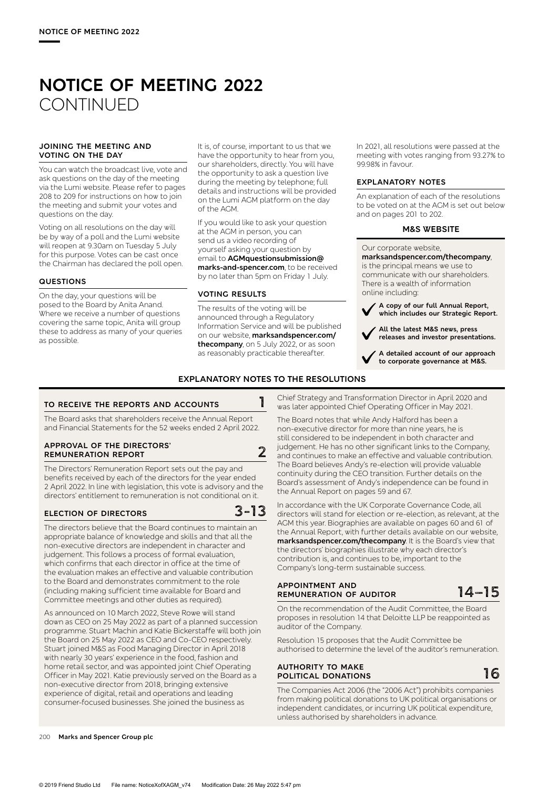# **NOTICE OF MEETING 2022 CONTINUED**

#### **JOINING THE MEETING AND VOTING ON THE DAY**

You can watch the broadcast live, vote and ask questions on the day of the meeting via the Lumi website. Please refer to pages 208 to 209 for instructions on how to join the meeting and submit your votes and questions on the day.

Voting on all resolutions on the day will be by way of a poll and the Lumi website will reopen at 9.30am on Tuesday 5 July for this purpose. Votes can be cast once the Chairman has declared the poll open.

#### **QUESTIONS**

On the day, your questions will be posed to the Board by Anita Anand. Where we receive a number of questions covering the same topic, Anita will group these to address as many of your queries as possible.

It is, of course, important to us that we have the opportunity to hear from you, our shareholders, directly. You will have the opportunity to ask a question live during the meeting by telephone; full details and instructions will be provided on the Lumi AGM platform on the day of the AGM.

If you would like to ask your question at the AGM in person, you can send us a video recording of yourself asking your question by email to **AGMquestionsubmission@ marks-and-spencer.com**, to be received by no later than 5pm on Friday 1 July.

#### **VOTING RESULTS**

The results of the voting will be announced through a Regulatory Information Service and will be published on our website, **marksandspencer.com/ thecompany**, on 5 July 2022, or as soon as reasonably practicable thereafter.

In 2021, all resolutions were passed at the meeting with votes ranging from 93.27% to 99.98% in favour.

#### **EXPLANATORY NOTES**

An explanation of each of the resolutions to be voted on at the AGM is set out below and on pages 201 to 202.

#### **M&S WEBSITE**

Our corporate website,

**marksandspencer.com/thecompany**, is the principal means we use to communicate with our shareholders. There is a wealth of information online including:

 **A copy of our full Annual Report, which includes our Strategic Report.**

 **All the latest M&S news, press releases and investor presentations.**

 **A detailed account of our approach to corporate governance at M&S.**

#### **EXPLANATORY NOTES TO THE RESOLUTIONS**

# **TO RECEIVE THE REPORTS AND ACCOUNTS 1**

The Board asks that shareholders receive the Annual Report and Financial Statements for the 52 weeks ended 2 April 2022.

#### **APPROVAL OF THE DIRECTORS' REMUNERATION REPORT 2**

The Directors' Remuneration Report sets out the pay and benefits received by each of the directors for the year ended 2 April 2022. In line with legislation, this vote is advisory and the directors' entitlement to remuneration is not conditional on it.

# **ELECTION OF DIRECTORS 3-13**

The directors believe that the Board continues to maintain an appropriate balance of knowledge and skills and that all the non-executive directors are independent in character and judgement. This follows a process of formal evaluation, which confirms that each director in office at the time of the evaluation makes an effective and valuable contribution to the Board and demonstrates commitment to the role (including making sufficient time available for Board and Committee meetings and other duties as required).

As announced on 10 March 2022, Steve Rowe will stand down as CEO on 25 May 2022 as part of a planned succession programme. Stuart Machin and Katie Bickerstaffe will both join the Board on 25 May 2022 as CEO and Co-CEO respectively. Stuart joined M&S as Food Managing Director in April 2018 with nearly 30 years' experience in the food, fashion and home retail sector, and was appointed joint Chief Operating Officer in May 2021. Katie previously served on the Board as a non-executive director from 2018, bringing extensive experience of digital, retail and operations and leading consumer-focused businesses. She joined the business as

Chief Strategy and Transformation Director in April 2020 and was later appointed Chief Operating Officer in May 2021.

The Board notes that while Andy Halford has been a non-executive director for more than nine years, he is still considered to be independent in both character and judgement. He has no other significant links to the Company, and continues to make an effective and valuable contribution. The Board believes Andy's re-election will provide valuable continuity during the CEO transition. Further details on the Board's assessment of Andy's independence can be found in the Annual Report on pages 59 and 67.

In accordance with the UK Corporate Governance Code, all directors will stand for election or re-election, as relevant, at the AGM this year. Biographies are available on pages 60 and 61 of the Annual Report, with further details available on our website, **marksandspencer.com/thecompany**. It is the Board's view that the directors' biographies illustrate why each director's contribution is, and continues to be, important to the Company's long-term sustainable success.

#### **APPOINTMENT AND REMUNERATION OF AUDITOR 14–15**

On the recommendation of the Audit Committee, the Board proposes in resolution 14 that Deloitte LLP be reappointed as auditor of the Company.

Resolution 15 proposes that the Audit Committee be authorised to determine the level of the auditor's remuneration.

#### **AUTHORITY TO MAKE POLITICAL DONATIONS**

The Companies Act 2006 (the "2006 Act") prohibits companies from making political donations to UK political organisations or independent candidates, or incurring UK political expenditure, unless authorised by shareholders in advance.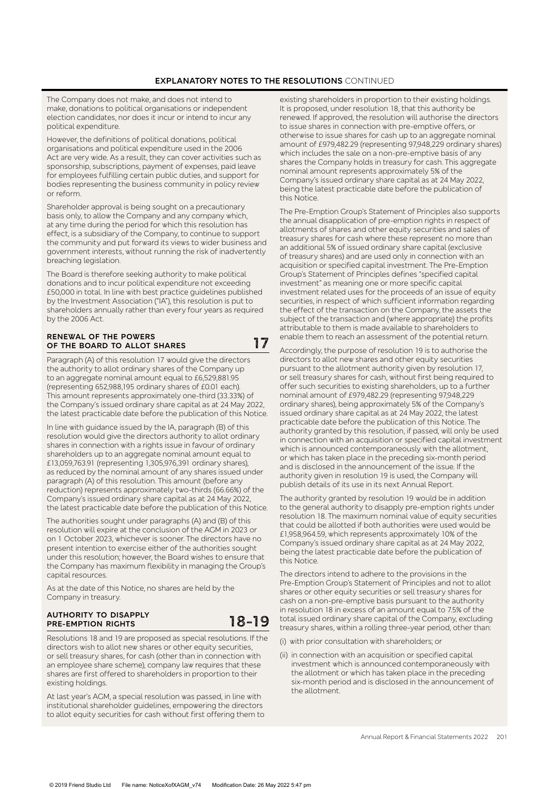# **EXPLANATORY NOTES TO THE RESOLUTIONS** CONTINUED

The Company does not make, and does not intend to make, donations to political organisations or independent election candidates, nor does it incur or intend to incur any political expenditure.

However, the definitions of political donations, political organisations and political expenditure used in the 2006 Act are very wide. As a result, they can cover activities such as sponsorship, subscriptions, payment of expenses, paid leave for employees fulfilling certain public duties, and support for bodies representing the business community in policy review or reform.

Shareholder approval is being sought on a precautionary basis only, to allow the Company and any company which, at any time during the period for which this resolution has effect, is a subsidiary of the Company, to continue to support the community and put forward its views to wider business and government interests, without running the risk of inadvertently breaching legislation.

The Board is therefore seeking authority to make political donations and to incur political expenditure not exceeding £50,000 in total. In line with best practice guidelines published by the Investment Association ("IA"), this resolution is put to shareholders annually rather than every four years as required by the 2006 Act.

#### **RENEWAL OF THE POWERS OF THE BOARD TO ALLOT SHARES 17**

Paragraph (A) of this resolution 17 would give the directors the authority to allot ordinary shares of the Company up to an aggregate nominal amount equal to £6,529,881.95 (representing 652,988,195 ordinary shares of £0.01 each). This amount represents approximately one-third (33.33%) of the Company's issued ordinary share capital as at 24 May 2022, the latest practicable date before the publication of this Notice.

In line with guidance issued by the IA, paragraph (B) of this resolution would give the directors authority to allot ordinary shares in connection with a rights issue in favour of ordinary shareholders up to an aggregate nominal amount equal to £13,059,763.91 (representing 1,305,976,391 ordinary shares), as reduced by the nominal amount of any shares issued under paragraph (A) of this resolution. This amount (before any reduction) represents approximately two-thirds (66.66%) of the Company's issued ordinary share capital as at 24 May 2022, the latest practicable date before the publication of this Notice.

The authorities sought under paragraphs (A) and (B) of this resolution will expire at the conclusion of the AGM in 2023 or on 1 October 2023, whichever is sooner. The directors have no present intention to exercise either of the authorities sought under this resolution; however, the Board wishes to ensure that the Company has maximum flexibility in managing the Group's capital resources.

As at the date of this Notice, no shares are held by the Company in treasury.

#### **AUTHORITY TO DISAPPLY PRE-EMPTION RIGHTS 18-19**

Resolutions 18 and 19 are proposed as special resolutions. If the directors wish to allot new shares or other equity securities, or sell treasury shares, for cash (other than in connection with an employee share scheme), company law requires that these shares are first offered to shareholders in proportion to their existing holdings.

At last year's AGM, a special resolution was passed, in line with institutional shareholder guidelines, empowering the directors to allot equity securities for cash without first offering them to existing shareholders in proportion to their existing holdings. It is proposed, under resolution 18, that this authority be renewed. If approved, the resolution will authorise the directors to issue shares in connection with pre-emptive offers, or otherwise to issue shares for cash up to an aggregate nominal amount of £979,482.29 (representing 97,948,229 ordinary shares) which includes the sale on a non-pre-emptive basis of any shares the Company holds in treasury for cash. This aggregate nominal amount represents approximately 5% of the Company's issued ordinary share capital as at 24 May 2022, being the latest practicable date before the publication of this Notice.

The Pre-Emption Group's Statement of Principles also supports the annual disapplication of pre-emption rights in respect of allotments of shares and other equity securities and sales of treasury shares for cash where these represent no more than an additional 5% of issued ordinary share capital (exclusive of treasury shares) and are used only in connection with an acquisition or specified capital investment. The Pre-Emption Group's Statement of Principles defines "specified capital investment" as meaning one or more specific capital investment related uses for the proceeds of an issue of equity securities, in respect of which sufficient information regarding the effect of the transaction on the Company, the assets the subject of the transaction and (where appropriate) the profits attributable to them is made available to shareholders to enable them to reach an assessment of the potential return.

Accordingly, the purpose of resolution 19 is to authorise the directors to allot new shares and other equity securities pursuant to the allotment authority given by resolution 17, or sell treasury shares for cash, without first being required to offer such securities to existing shareholders, up to a further nominal amount of £979,482.29 (representing 97,948,229 ordinary shares), being approximately 5% of the Company's issued ordinary share capital as at 24 May 2022, the latest practicable date before the publication of this Notice. The authority granted by this resolution, if passed, will only be used in connection with an acquisition or specified capital investment which is announced contemporaneously with the allotment, or which has taken place in the preceding six-month period and is disclosed in the announcement of the issue. If the authority given in resolution 19 is used, the Company will publish details of its use in its next Annual Report.

The authority granted by resolution 19 would be in addition to the general authority to disapply pre-emption rights under resolution 18. The maximum nominal value of equity securities that could be allotted if both authorities were used would be £1,958,964.59, which represents approximately 10% of the Company's issued ordinary share capital as at 24 May 2022, being the latest practicable date before the publication of this Notice.

The directors intend to adhere to the provisions in the Pre-Emption Group's Statement of Principles and not to allot shares or other equity securities or sell treasury shares for cash on a non-pre-emptive basis pursuant to the authority in resolution 18 in excess of an amount equal to 7.5% of the total issued ordinary share capital of the Company, excluding treasury shares, within a rolling three-year period, other than:

- (i) with prior consultation with shareholders; or
- (ii) in connection with an acquisition or specified capital investment which is announced contemporaneously with the allotment or which has taken place in the preceding six-month period and is disclosed in the announcement of the allotment.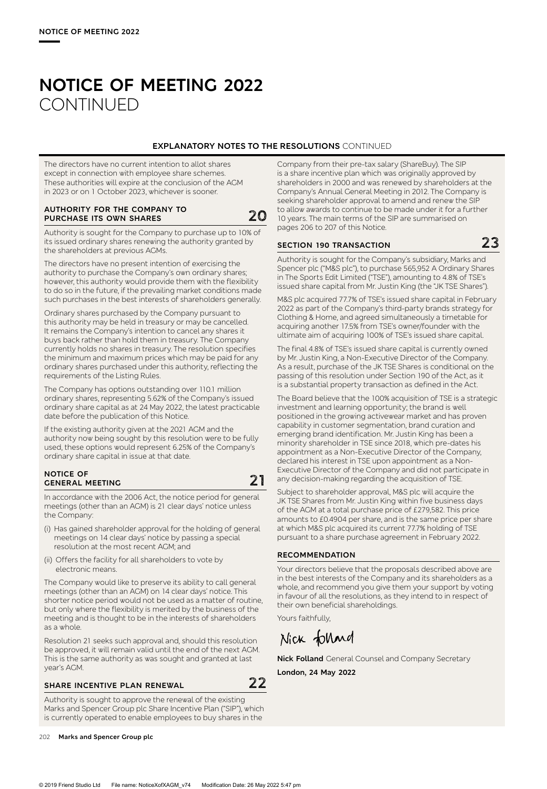# **NOTICE OF MEETING 2022 CONTINUED**

## **EXPLANATORY NOTES TO THE RESOLUTIONS** CONTINUED

The directors have no current intention to allot shares except in connection with employee share schemes. These authorities will expire at the conclusion of the AGM in 2023 or on 1 October 2023, whichever is sooner.

#### **AUTHORITY FOR THE COMPANY TO PURCHASE ITS OWN SHARES 20**

Authority is sought for the Company to purchase up to 10% of its issued ordinary shares renewing the authority granted by the shareholders at previous AGMs.

The directors have no present intention of exercising the authority to purchase the Company's own ordinary shares; however, this authority would provide them with the flexibility to do so in the future, if the prevailing market conditions made such purchases in the best interests of shareholders generally.

Ordinary shares purchased by the Company pursuant to this authority may be held in treasury or may be cancelled. It remains the Company's intention to cancel any shares it buys back rather than hold them in treasury. The Company currently holds no shares in treasury. The resolution specifies the minimum and maximum prices which may be paid for any ordinary shares purchased under this authority, reflecting the requirements of the Listing Rules.

The Company has options outstanding over 110.1 million ordinary shares, representing 5.62% of the Company's issued ordinary share capital as at 24 May 2022, the latest practicable date before the publication of this Notice.

If the existing authority given at the 2021 AGM and the authority now being sought by this resolution were to be fully used, these options would represent 6.25% of the Company's ordinary share capital in issue at that date.

# **NOTICE OF GENERAL MEETING 21**

In accordance with the 2006 Act, the notice period for general meetings (other than an AGM) is 21 clear days' notice unless the Company:

- (i) Has gained shareholder approval for the holding of general meetings on 14 clear days' notice by passing a special resolution at the most recent AGM; and
- (ii) Offers the facility for all shareholders to vote by electronic means.

The Company would like to preserve its ability to call general meetings (other than an AGM) on 14 clear days' notice. This shorter notice period would not be used as a matter of routine, but only where the flexibility is merited by the business of the meeting and is thought to be in the interests of shareholders as a whole.

Resolution 21 seeks such approval and, should this resolution be approved, it will remain valid until the end of the next AGM. This is the same authority as was sought and granted at last year's AGM.

# **SHARE INCENTIVE PLAN RENEWAL 22**

Authority is sought to approve the renewal of the existing Marks and Spencer Group plc Share Incentive Plan ("SIP"), which is currently operated to enable employees to buy shares in the

Company from their pre-tax salary (ShareBuy). The SIP is a share incentive plan which was originally approved by shareholders in 2000 and was renewed by shareholders at the Company's Annual General Meeting in 2012. The Company is seeking shareholder approval to amend and renew the SIP to allow awards to continue to be made under it for a further 10 years. The main terms of the SIP are summarised on pages 206 to 207 of this Notice.

# **SECTION 190 TRANSACTION 23**

Authority is sought for the Company's subsidiary, Marks and Spencer plc ("M&S plc"), to purchase 565,952 A Ordinary Shares in The Sports Edit Limited ("TSE"), amounting to 4.8% of TSE's issued share capital from Mr. Justin King (the "JK TSE Shares").

M&S plc acquired 77.7% of TSE's issued share capital in February 2022 as part of the Company's third-party brands strategy for Clothing & Home, and agreed simultaneously a timetable for acquiring another 17.5% from TSE's owner/founder with the ultimate aim of acquiring 100% of TSE's issued share capital.

The final 4.8% of TSE's issued share capital is currently owned by Mr. Justin King, a Non-Executive Director of the Company. As a result, purchase of the JK TSE Shares is conditional on the passing of this resolution under Section 190 of the Act, as it is a substantial property transaction as defined in the Act.

The Board believe that the 100% acquisition of TSE is a strategic investment and learning opportunity; the brand is well positioned in the growing activewear market and has proven capability in customer segmentation, brand curation and emerging brand identification. Mr. Justin King has been a minority shareholder in TSE since 2018, which pre-dates his appointment as a Non-Executive Director of the Company, declared his interest in TSE upon appointment as a Non-Executive Director of the Company and did not participate in any decision-making regarding the acquisition of TSE.

Subject to shareholder approval, M&S plc will acquire the JK TSE Shares from Mr. Justin King within five business days of the AGM at a total purchase price of £279,582. This price amounts to £0.4904 per share, and is the same price per share at which M&S plc acquired its current 77.7% holding of TSE pursuant to a share purchase agreement in February 2022.

#### **RECOMMENDATION**

Your directors believe that the proposals described above are in the best interests of the Company and its shareholders as a whole, and recommend you give them your support by voting in favour of all the resolutions, as they intend to in respect of their own beneficial shareholdings.

Yours faithfully,

Nick folland

**Nick Folland** General Counsel and Company Secretary **London, 24 May 2022**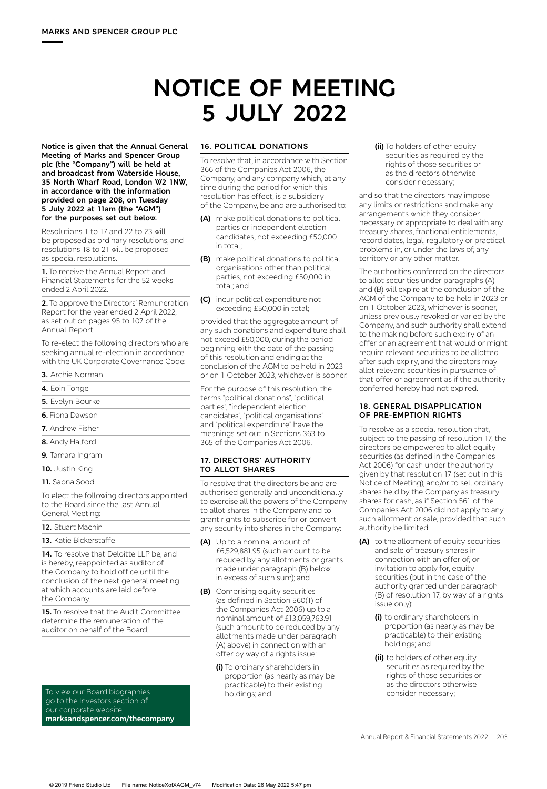# **NOTICE OF MEETING 5 JULY 2022**

**Notice is given that the Annual General Meeting of Marks and Spencer Group plc (the "Company") will be held at and broadcast from Waterside House, 35 North Wharf Road, London W2 1NW, in accordance with the information provided on page 208, on Tuesday 5 July 2022 at 11am (the "AGM") for the purposes set out below.** 

Resolutions 1 to 17 and 22 to 23 will be proposed as ordinary resolutions, and resolutions 18 to 21 will be proposed as special resolutions.

**1.** To receive the Annual Report and Financial Statements for the 52 weeks ended 2 April 2022.

**2.** To approve the Directors' Remuneration Report for the year ended 2 April 2022, as set out on pages 95 to 107 of the Annual Report.

To re-elect the following directors who are seeking annual re-election in accordance with the UK Corporate Governance Code:

**3.** Archie Norman

|  | <b>4.</b> Eoin Tonge |
|--|----------------------|
|  |                      |

- **5.** Evelyn Bourke
- **6.** Fiona Dawson
- **7.** Andrew Fisher
- **8.** Andy Halford
- **9.** Tamara Ingram
- **10.** Justin King
- **11.** Sapna Sood

To elect the following directors appointed to the Board since the last Annual General Meeting:

#### **12.** Stuart Machin

**13.** Katie Bickerstaffe

14. To resolve that Deloitte LLP be, and is hereby, reappointed as auditor of the Company to hold office until the conclusion of the next general meeting at which accounts are laid before the Company.

**15.** To resolve that the Audit Committee determine the remuneration of the auditor on behalf of the Board.

To view our Board biographies go to the Investors section of our corporate website, **marksandspencer.com/thecompany**

### **16. POLITICAL DONATIONS**

To resolve that, in accordance with Section 366 of the Companies Act 2006, the Company, and any company which, at any time during the period for which this resolution has effect, is a subsidiary of the Company, be and are authorised to:

- **(A)** make political donations to political parties or independent election candidates, not exceeding £50,000 in total;
- **(B)** make political donations to political organisations other than political parties, not exceeding £50,000 in total; and
- **(C)** incur political expenditure not exceeding £50,000 in total;

provided that the aggregate amount of any such donations and expenditure shall not exceed £50,000, during the period beginning with the date of the passing of this resolution and ending at the conclusion of the AGM to be held in 2023 or on 1 October 2023, whichever is sooner.

For the purpose of this resolution, the terms "political donations", "political parties", "independent election candidates", "political organisations" and "political expenditure" have the meanings set out in Sections 363 to 365 of the Companies Act 2006.

#### **17. DIRECTORS' AUTHORITY TO ALLOT SHARES**

To resolve that the directors be and are authorised generally and unconditionally to exercise all the powers of the Company to allot shares in the Company and to grant rights to subscribe for or convert any security into shares in the Company:

- **(A)** Up to a nominal amount of £6,529,881.95 (such amount to be reduced by any allotments or grants made under paragraph (B) below in excess of such sum); and
- **(B)** Comprising equity securities (as defined in Section 560(1) of the Companies Act 2006) up to a nominal amount of £13,059,763.91 (such amount to be reduced by any allotments made under paragraph (A) above) in connection with an offer by way of a rights issue:
	- **(i)** To ordinary shareholders in proportion (as nearly as may be practicable) to their existing holdings; and

**(ii)** To holders of other equity securities as required by the rights of those securities or as the directors otherwise consider necessary;

and so that the directors may impose any limits or restrictions and make any arrangements which they consider necessary or appropriate to deal with any treasury shares, fractional entitlements, record dates, legal, regulatory or practical problems in, or under the laws of, any territory or any other matter.

The authorities conferred on the directors to allot securities under paragraphs (A) and (B) will expire at the conclusion of the AGM of the Company to be held in 2023 or on 1 October 2023, whichever is sooner, unless previously revoked or varied by the Company, and such authority shall extend to the making before such expiry of an offer or an agreement that would or might require relevant securities to be allotted after such expiry, and the directors may allot relevant securities in pursuance of that offer or agreement as if the authority conferred hereby had not expired.

#### **18. GENERAL DISAPPLICATION OF PRE-EMPTION RIGHTS**

To resolve as a special resolution that, subject to the passing of resolution 17, the directors be empowered to allot equity securities (as defined in the Companies Act 2006) for cash under the authority given by that resolution 17 (set out in this Notice of Meeting), and/or to sell ordinary shares held by the Company as treasury shares for cash, as if Section 561 of the Companies Act 2006 did not apply to any such allotment or sale, provided that such authority be limited:

- **(A)** to the allotment of equity securities and sale of treasury shares in connection with an offer of, or invitation to apply for, equity securities (but in the case of the authority granted under paragraph (B) of resolution 17, by way of a rights issue only):
	- **(i)** to ordinary shareholders in proportion (as nearly as may be practicable) to their existing holdings; and
	- **(ii)** to holders of other equity securities as required by the rights of those securities or as the directors otherwise consider necessary;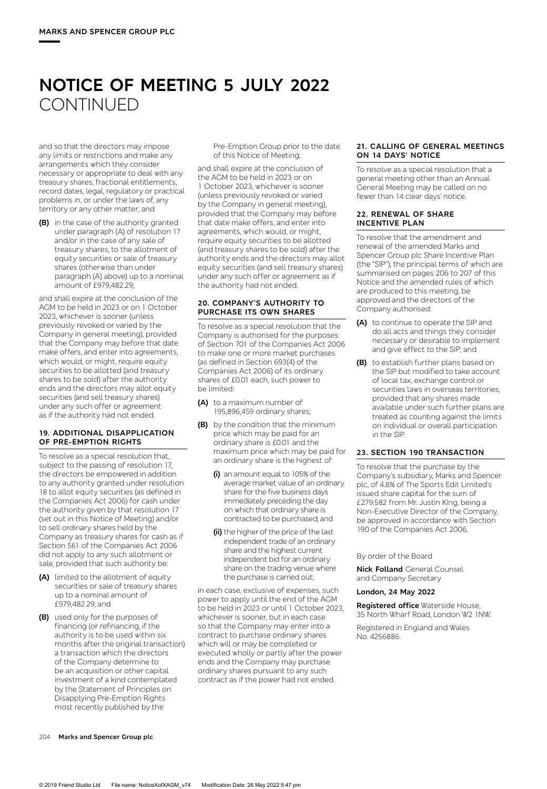# **NOTICE OF MEETING 5 JULY 2022 CONTINUED**

and so that the directors may impose any limits or restrictions and make any arrangements which they consider necessary or appropriate to deal with any treasury shares, fractional entitlements, record dates, legal, regulatory or practical problems in, or under the laws of, any territory or any other matter; and

**(B)** in the case of the authority granted under paragraph (A) of resolution 17 and/or in the case of any sale of treasury shares, to the allotment of equity securities or sale of treasury shares (otherwise than under paragraph (A) above) up to a nominal amount of £979,482.29;

and shall expire at the conclusion of the AGM to be held in 2023 or on 1 October 2023, whichever is sooner (unless previously revoked or varied by the Company in general meeting), provided that the Company may before that date make offers, and enter into agreements, which would, or might, require equity securities to be allotted (and treasury shares to be sold) after the authority ends and the directors may allot equity securities (and sell treasury shares) under any such offer or agreement as if the authority had not ended.

#### **19. ADDITIONAL DISAPPLICATION OF PRE-EMPTION RIGHTS**

To resolve as a special resolution that, subject to the passing of resolution 17, the directors be empowered in addition to any authority granted under resolution 18 to allot equity securities (as defined in the Companies Act 2006) for cash under the authority given by that resolution 17 (set out in this Notice of Meeting) and/or to sell ordinary shares held by the Company as treasury shares for cash as if Section 561 of the Companies Act 2006 did not apply to any such allotment or sale, provided that such authority be:

- **(A)** limited to the allotment of equity securities or sale of treasury shares up to a nominal amount of £979,482.29; and
- **(B)** used only for the purposes of financing (or refinancing, if the authority is to be used within six months after the original transaction) a transaction which the directors of the Company determine to be an acquisition or other capital investment of a kind contemplated by the Statement of Principles on Disapplying Pre-Emption Rights most recently published by the

Pre-Emption Group prior to the date of this Notice of Meeting;

and shall expire at the conclusion of the AGM to be held in 2023 or on 1 October 2023, whichever is sooner (unless previously revoked or varied by the Company in general meeting), provided that the Company may before that date make offers, and enter into agreements, which would, or might, require equity securities to be allotted (and treasury shares to be sold) after the authority ends and the directors may allot equity securities (and sell treasury shares) under any such offer or agreement as if the authority had not ended.

#### **20. COMPANY'S AUTHORITY TO PURCHASE ITS OWN SHARES**

To resolve as a special resolution that the Company is authorised for the purposes of Section 701 of the Companies Act 2006 to make one or more market purchases (as defined in Section 693(4) of the Companies Act 2006) of its ordinary shares of £0.01 each, such power to be limited:

- **(A)** to a maximum number of 195,896,459 ordinary shares;
- **(B)** by the condition that the minimum price which may be paid for an ordinary share is £0.01 and the maximum price which may be paid for an ordinary share is the highest of:
	- **(i)** an amount equal to 105% of the average market value of an ordinary share for the five business days immediately preceding the day on which that ordinary share is contracted to be purchased; and
	- **(ii)** the higher of the price of the last independent trade of an ordinary share and the highest current independent bid for an ordinary share on the trading venue where the purchase is carried out;

in each case, exclusive of expenses, such power to apply until the end of the AGM to be held in 2023 or until 1 October 2023, whichever is sooner, but in each case so that the Company may enter into a contract to purchase ordinary shares which will or may be completed or executed wholly or partly after the power ends and the Company may purchase ordinary shares pursuant to any such contract as if the power had not ended.

### **21. CALLING OF GENERAL MEETINGS ON 14 DAYS' NOTICE**

To resolve as a special resolution that a general meeting other than an Annual General Meeting may be called on no fewer than 14 clear days' notice.

#### **22. RENEWAL OF SHARE INCENTIVE PLAN**

To resolve that the amendment and renewal of the amended Marks and Spencer Group plc Share Incentive Plan (the "SIP"), the principal terms of which are summarised on pages 206 to 207 of this Notice and the amended rules of which are produced to this meeting, be approved and the directors of the Company authorised:

- **(A)** to continue to operate the SIP and do all acts and things they consider necessary or desirable to implement and give effect to the SIP; and
- **(B)** to establish further plans based on the SIP but modified to take account of local tax, exchange control or securities laws in overseas territories, provided that any shares made available under such further plans are treated as counting against the limits on individual or overall participation in the SIP.

## **23. SECTION 190 TRANSACTION**

To resolve that the purchase by the Company's subsidiary, Marks and Spencer plc, of 4.8% of The Sports Edit Limited's issued share capital for the sum of £279,582 from Mr. Justin King, being a Non-Executive Director of the Company, be approved in accordance with Section 190 of the Companies Act 2006.

#### By order of the Board

**Nick Folland** General Counsel and Company Secretary

#### **London, 24 May 2022**

**Registered office** Waterside House, 35 North Wharf Road, London W2 1NW.

Registered in England and Wales No. 4256886.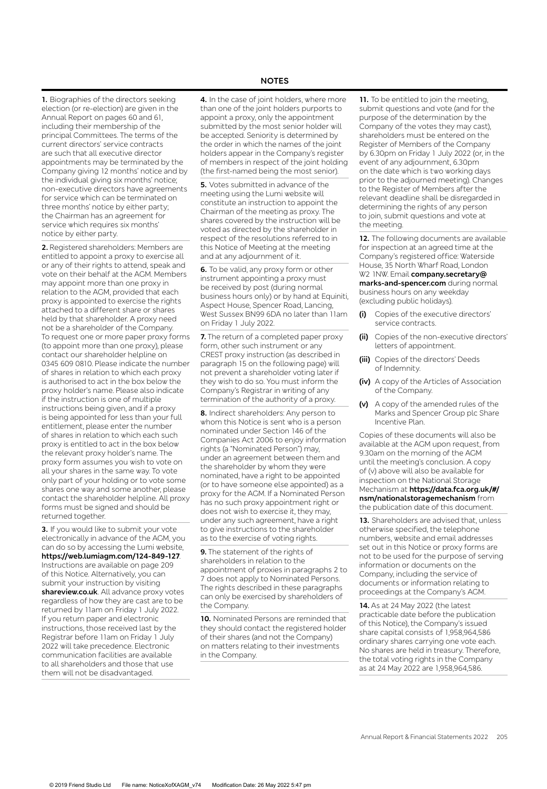#### **NOTES**

**1.** Biographies of the directors seeking election (or re-election) are given in the Annual Report on pages 60 and 61, including their membership of the principal Committees. The terms of the current directors' service contracts are such that all executive director appointments may be terminated by the Company giving 12 months' notice and by the individual giving six months' notice; non-executive directors have agreements for service which can be terminated on three months' notice by either party; the Chairman has an agreement for service which requires six months' notice by either party.

**2.** Registered shareholders: Members are entitled to appoint a proxy to exercise all or any of their rights to attend, speak and vote on their behalf at the AGM. Members may appoint more than one proxy in relation to the AGM, provided that each proxy is appointed to exercise the rights attached to a different share or shares held by that shareholder. A proxy need not be a shareholder of the Company. To request one or more paper proxy forms (to appoint more than one proxy), please contact our shareholder helpline on 0345 609 0810. Please indicate the number of shares in relation to which each proxy is authorised to act in the box below the proxy holder's name. Please also indicate if the instruction is one of multiple instructions being given, and if a proxy is being appointed for less than your full entitlement, please enter the number of shares in relation to which each such proxy is entitled to act in the box below the relevant proxy holder's name. The proxy form assumes you wish to vote on all your shares in the same way. To vote only part of your holding or to vote some shares one way and some another, please contact the shareholder helpline. All proxy forms must be signed and should be returned together.

**3.** If you would like to submit your vote electronically in advance of the AGM, you can do so by accessing the Lumi website, **https://web.lumiagm.com/124-849-127**. Instructions are available on page 209 of this Notice. Alternatively, you can submit your instruction by visiting **shareview.co.uk**. All advance proxy votes regardless of how they are cast are to be returned by 11am on Friday 1 July 2022. If you return paper and electronic instructions, those received last by the Registrar before 11am on Friday 1 July 2022 will take precedence. Electronic communication facilities are available to all shareholders and those that use them will not be disadvantaged.

**4.** In the case of joint holders, where more than one of the joint holders purports to appoint a proxy, only the appointment submitted by the most senior holder will be accepted. Seniority is determined by the order in which the names of the joint holders appear in the Company's register of members in respect of the joint holding (the first-named being the most senior).

**5.** Votes submitted in advance of the meeting using the Lumi website will constitute an instruction to appoint the Chairman of the meeting as proxy. The shares covered by the instruction will be voted as directed by the shareholder in respect of the resolutions referred to in this Notice of Meeting at the meeting and at any adjournment of it.

**6.** To be valid, any proxy form or other instrument appointing a proxy must be received by post (during normal business hours only) or by hand at Equiniti, Aspect House, Spencer Road, Lancing, West Sussex BN99 6DA no later than 11am on Friday 1 July 2022.

**7.** The return of a completed paper proxy form, other such instrument or any CREST proxy instruction (as described in paragraph 15 on the following page) will not prevent a shareholder voting later if they wish to do so. You must inform the Company's Registrar in writing of any termination of the authority of a proxy.

**8.** Indirect shareholders: Any person to whom this Notice is sent who is a person nominated under Section 146 of the Companies Act 2006 to enjoy information rights (a "Nominated Person") may, under an agreement between them and the shareholder by whom they were nominated, have a right to be appointed (or to have someone else appointed) as a proxy for the AGM. If a Nominated Person has no such proxy appointment right or does not wish to exercise it, they may, under any such agreement, have a right to give instructions to the shareholder as to the exercise of voting rights.

**9.** The statement of the rights of shareholders in relation to the appointment of proxies in paragraphs 2 to 7 does not apply to Nominated Persons. The rights described in these paragraphs can only be exercised by shareholders of the Company.

**10.** Nominated Persons are reminded that they should contact the registered holder of their shares (and not the Company) on matters relating to their investments in the Company.

**11.** To be entitled to join the meeting, submit questions and vote (and for the purpose of the determination by the Company of the votes they may cast), shareholders must be entered on the Register of Members of the Company by 6.30pm on Friday 1 July 2022 (or, in the event of any adjournment, 6.30pm on the date which is two working days prior to the adjourned meeting). Changes to the Register of Members after the relevant deadline shall be disregarded in determining the rights of any person to join, submit questions and vote at the meeting.

**12.** The following documents are available for inspection at an agreed time at the Company's registered office: Waterside House, 35 North Wharf Road, London W2 1NW. Email **company.secretary@ marks-and-spencer.com** during normal business hours on any weekday (excluding public holidays).

- **(i)** Copies of the executive directors' service contracts.
- **(ii)** Copies of the non-executive directors' letters of appointment.
- **(iii)** Copies of the directors' Deeds of Indemnity.
- **(iv)** A copy of the Articles of Association of the Company.
- **(v)** A copy of the amended rules of the Marks and Spencer Group plc Share Incentive Plan.

Copies of these documents will also be available at the AGM upon request, from 9.30am on the morning of the AGM until the meeting's conclusion. A copy of (v) above will also be available for inspection on the National Storage Mechanism at **https://data.fca.org.uk/#/ nsm/nationalstoragemechanism** from the publication date of this document.

**13.** Shareholders are advised that, unless otherwise specified, the telephone numbers, website and email addresses set out in this Notice or proxy forms are not to be used for the purpose of serving information or documents on the Company, including the service of documents or information relating to proceedings at the Company's AGM.

**14.** As at 24 May 2022 (the latest practicable date before the publication of this Notice), the Company's issued share capital consists of 1,958,964,586 ordinary shares carrying one vote each. No shares are held in treasury. Therefore, the total voting rights in the Company as at 24 May 2022 are 1,958,964,586.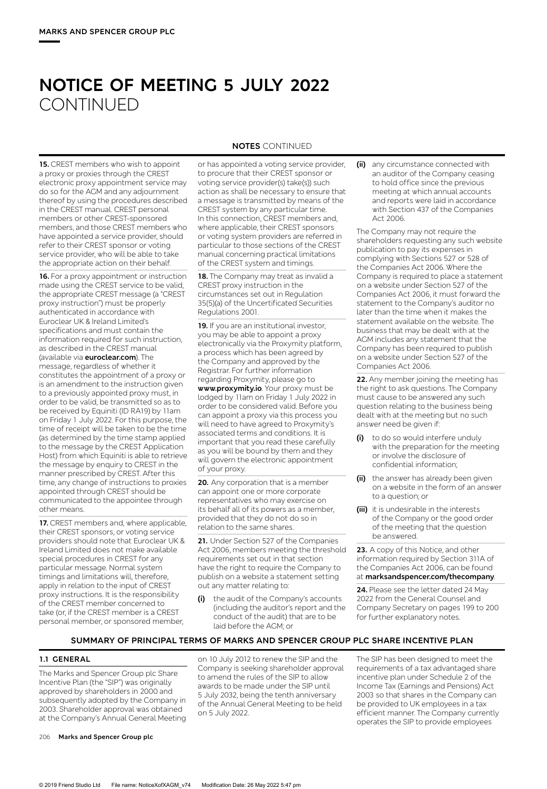# **NOTICE OF MEETING 5 JULY 2022 CONTINUED**

**15.** CREST members who wish to appoint a proxy or proxies through the CREST electronic proxy appointment service may do so for the AGM and any adjournment thereof by using the procedures described in the CREST manual. CREST personal members or other CREST-sponsored members, and those CREST members who have appointed a service provider, should refer to their CREST sponsor or voting service provider, who will be able to take the appropriate action on their behalf.

**16.** For a proxy appointment or instruction made using the CREST service to be valid, the appropriate CREST message (a "CREST proxy instruction") must be properly authenticated in accordance with Euroclear UK & Ireland Limited's specifications and must contain the information required for such instruction, as described in the CREST manual (available via **euroclear.com**). The message, regardless of whether it constitutes the appointment of a proxy or is an amendment to the instruction given to a previously appointed proxy must, in order to be valid, be transmitted so as to be received by Equiniti (ID RA19) by 11am on Friday 1 July 2022. For this purpose, the time of receipt will be taken to be the time (as determined by the time stamp applied to the message by the CREST Application Host) from which Equiniti is able to retrieve the message by enquiry to CREST in the manner prescribed by CREST. After this time, any change of instructions to proxies appointed through CREST should be communicated to the appointee through other means.

**17.** CREST members and, where applicable, their CREST sponsors, or voting service providers should note that Euroclear UK & Ireland Limited does not make available special procedures in CREST for any particular message. Normal system timings and limitations will, therefore, apply in relation to the input of CREST proxy instructions. It is the responsibility of the CREST member concerned to take (or, if the CREST member is a CREST personal member, or sponsored member,

## **NOTES** CONTINUED

or has appointed a voting service provider, to procure that their CREST sponsor or voting service provider(s) take(s)) such action as shall be necessary to ensure that a message is transmitted by means of the CREST system by any particular time. In this connection, CREST members and, where applicable, their CREST sponsors or voting system providers are referred in particular to those sections of the CREST manual concerning practical limitations of the CREST system and timings.

**18.** The Company may treat as invalid a CREST proxy instruction in the circumstances set out in Regulation 35(5)(a) of the Uncertificated Securities Regulations 2001.

**19.** If you are an institutional investor, you may be able to appoint a proxy electronically via the Proxymity platform, a process which has been agreed by the Company and approved by the Registrar. For further information regarding Proxymity, please go to **www.proxymity.io**. Your proxy must be lodged by 11am on Friday 1 July 2022 in order to be considered valid. Before you can appoint a proxy via this process you will need to have agreed to Proxymity's associated terms and conditions. It is important that you read these carefully as you will be bound by them and they will govern the electronic appointment of your proxy.

**20.** Any corporation that is a member can appoint one or more corporate representatives who may exercise on its behalf all of its powers as a member, provided that they do not do so in relation to the same shares.

**21.** Under Section 527 of the Companies Act 2006, members meeting the threshold requirements set out in that section have the right to require the Company to publish on a website a statement setting out any matter relating to:

**(i)** the audit of the Company's accounts (including the auditor's report and the conduct of the audit) that are to be laid before the AGM; or

**(ii)** any circumstance connected with an auditor of the Company ceasing to hold office since the previous meeting at which annual accounts and reports were laid in accordance with Section 437 of the Companies Act 2006.

The Company may not require the shareholders requesting any such website publication to pay its expenses in complying with Sections 527 or 528 of the Companies Act 2006. Where the Company is required to place a statement on a website under Section 527 of the Companies Act 2006, it must forward the statement to the Company's auditor no later than the time when it makes the statement available on the website. The business that may be dealt with at the AGM includes any statement that the Company has been required to publish on a website under Section 527 of the Companies Act 2006.

**22.** Any member joining the meeting has the right to ask questions. The Company must cause to be answered any such question relating to the business being dealt with at the meeting but no such answer need be given if:

- **(i)** to do so would interfere unduly with the preparation for the meeting or involve the disclosure of confidential information;
- **(ii)** the answer has already been given on a website in the form of an answer to a question; or
- **(iii)** it is undesirable in the interests of the Company or the good order of the meeting that the question be answered.

**23.** A copy of this Notice, and other information required by Section 311A of the Companies Act 2006, can be found at **marksandspencer.com/thecompany**.

**24.** Please see the letter dated 24 May 2022 from the General Counsel and Company Secretary on pages 199 to 200 for further explanatory notes.

#### **SUMMARY OF PRINCIPAL TERMS OF MARKS AND SPENCER GROUP PLC SHARE INCENTIVE PLAN**

#### **1.1 GENERAL**

The Marks and Spencer Group plc Share Incentive Plan (the "SIP") was originally approved by shareholders in 2000 and subsequently adopted by the Company in 2003. Shareholder approval was obtained at the Company's Annual General Meeting on 10 July 2012 to renew the SIP and the Company is seeking shareholder approval to amend the rules of the SIP to allow awards to be made under the SIP until 5 July 2032, being the tenth anniversary of the Annual General Meeting to be held on 5 July 2022.

The SIP has been designed to meet the requirements of a tax advantaged share incentive plan under Schedule 2 of the Income Tax (Earnings and Pensions) Act 2003 so that shares in the Company can be provided to UK employees in a tax efficient manner. The Company currently operates the SIP to provide employees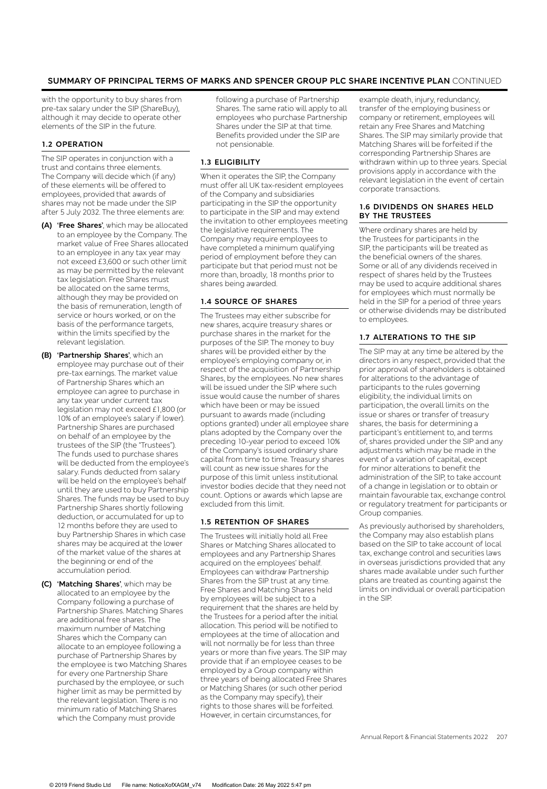# **SUMMARY OF PRINCIPAL TERMS OF MARKS AND SPENCER GROUP PLC SHARE INCENTIVE PLAN** CONTINUED

with the opportunity to buy shares from pre-tax salary under the SIP (ShareBuy), although it may decide to operate other elements of the SIP in the future.

## **1.2 OPERATION**

The SIP operates in conjunction with a trust and contains three elements. The Company will decide which (if any) of these elements will be offered to employees, provided that awards of shares may not be made under the SIP after 5 July 2032. The three elements are:

- **(A) 'Free Shares'**, which may be allocated to an employee by the Company. The market value of Free Shares allocated to an employee in any tax year may not exceed £3,600 or such other limit as may be permitted by the relevant tax legislation. Free Shares must be allocated on the same terms, although they may be provided on the basis of remuneration, length of service or hours worked, or on the basis of the performance targets, within the limits specified by the relevant legislation.
- **(B) 'Partnership Shares'**, which an employee may purchase out of their pre-tax earnings. The market value of Partnership Shares which an employee can agree to purchase in any tax year under current tax legislation may not exceed £1,800 (or 10% of an employee's salary if lower). Partnership Shares are purchased on behalf of an employee by the trustees of the SIP (the "Trustees"). The funds used to purchase shares will be deducted from the employee's salary. Funds deducted from salary will be held on the employee's behalf until they are used to buy Partnership Shares. The funds may be used to buy Partnership Shares shortly following deduction, or accumulated for up to 12 months before they are used to buy Partnership Shares in which case shares may be acquired at the lower of the market value of the shares at the beginning or end of the accumulation period.
- **(C) 'Matching Shares'**, which may be allocated to an employee by the Company following a purchase of Partnership Shares. Matching Shares are additional free shares. The maximum number of Matching Shares which the Company can allocate to an employee following a purchase of Partnership Shares by the employee is two Matching Shares for every one Partnership Share purchased by the employee, or such higher limit as may be permitted by the relevant legislation. There is no minimum ratio of Matching Shares which the Company must provide

following a purchase of Partnership Shares. The same ratio will apply to all employees who purchase Partnership Shares under the SIP at that time. Benefits provided under the SIP are not pensionable.

#### **1.3 ELIGIBILITY**

When it operates the SIP, the Company must offer all UK tax-resident employees of the Company and subsidiaries participating in the SIP the opportunity to participate in the SIP and may extend the invitation to other employees meeting the legislative requirements. The Company may require employees to have completed a minimum qualifying period of employment before they can participate but that period must not be more than, broadly, 18 months prior to shares being awarded.

#### **1.4 SOURCE OF SHARES**

The Trustees may either subscribe for new shares, acquire treasury shares or purchase shares in the market for the purposes of the SIP. The money to buy shares will be provided either by the employee's employing company or, in respect of the acquisition of Partnership Shares, by the employees. No new shares will be issued under the SIP where such issue would cause the number of shares which have been or may be issued pursuant to awards made (including options granted) under all employee share plans adopted by the Company over the preceding 10-year period to exceed 10% of the Company's issued ordinary share capital from time to time. Treasury shares will count as new issue shares for the purpose of this limit unless institutional investor bodies decide that they need not count. Options or awards which lapse are excluded from this limit.

#### **1.5 RETENTION OF SHARES**

The Trustees will initially hold all Free Shares or Matching Shares allocated to employees and any Partnership Shares acquired on the employees' behalf. Employees can withdraw Partnership Shares from the SIP trust at any time. Free Shares and Matching Shares held by employees will be subject to a requirement that the shares are held by the Trustees for a period after the initial allocation. This period will be notified to employees at the time of allocation and will not normally be for less than three years or more than five years. The SIP may provide that if an employee ceases to be employed by a Group company within three years of being allocated Free Shares or Matching Shares (or such other period as the Company may specify), their rights to those shares will be forfeited. However, in certain circumstances, for

example death, injury, redundancy, transfer of the employing business or company or retirement, employees will retain any Free Shares and Matching Shares. The SIP may similarly provide that Matching Shares will be forfeited if the corresponding Partnership Shares are withdrawn within up to three years. Special provisions apply in accordance with the relevant legislation in the event of certain corporate transactions.

#### **1.6 DIVIDENDS ON SHARES HELD BY THE TRUSTEES**

Where ordinary shares are held by the Trustees for participants in the SIP, the participants will be treated as the beneficial owners of the shares. Some or all of any dividends received in respect of shares held by the Trustees may be used to acquire additional shares for employees which must normally be held in the SIP for a period of three years or otherwise dividends may be distributed to employees.

#### **1.7 ALTERATIONS TO THE SIP**

The SIP may at any time be altered by the directors in any respect, provided that the prior approval of shareholders is obtained for alterations to the advantage of participants to the rules governing eligibility, the individual limits on participation, the overall limits on the issue or shares or transfer of treasury shares, the basis for determining a participant's entitlement to, and terms of, shares provided under the SIP and any adjustments which may be made in the event of a variation of capital, except for minor alterations to benefit the administration of the SIP, to take account of a change in legislation or to obtain or maintain favourable tax, exchange control or regulatory treatment for participants or Group companies.

As previously authorised by shareholders, the Company may also establish plans based on the SIP to take account of local tax, exchange control and securities laws in overseas jurisdictions provided that any shares made available under such further plans are treated as counting against the limits on individual or overall participation in the SIP.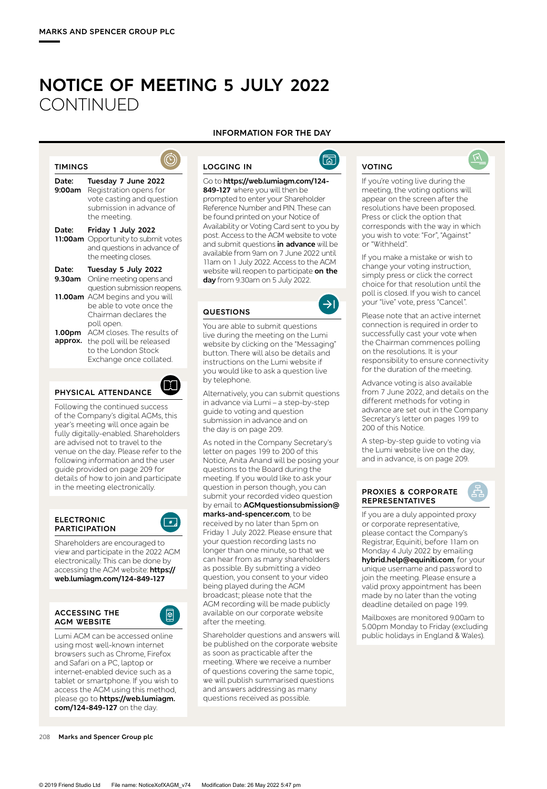# **NOTICE OF MEETING 5 JULY 2022 CONTINUED**

#### **TIMINGS**

| Date:<br>9:00am            | Tuesday 7 June 2022<br>Registration opens for<br>vote casting and question<br>submission in advance of<br>the meetina.                                          |
|----------------------------|-----------------------------------------------------------------------------------------------------------------------------------------------------------------|
| Date:<br>11:00am           | Friday 1 July 2022<br>Opportunity to submit votes<br>and questions in advance of<br>the meeting closes.                                                         |
| Date:<br>9.30am<br>11.00am | Tuesday 5 July 2022<br>Online meeting opens and<br>question submission reopens.<br>AGM begins and you will<br>be able to vote once the<br>Chairman declares the |
| 1.00pm<br>approx.          | poll open.<br>AGM closes. The results of<br>the poll will be released<br>to the London Stock<br>Exchange once collated.                                         |



Following the continued success of the Company's digital AGMs, this year's meeting will once again be fully digitally-enabled. Shareholders are advised not to travel to the venue on the day. Please refer to the following information and the user guide provided on page 209 for details of how to join and participate in the meeting electronically.

#### **ELECTRONIC PARTICIPATION**



Shareholders are encouraged to view and participate in the 2022 AGM electronically. This can be done by accessing the AGM website: **https:// web.lumiagm.com/124-849-127**

#### **ACCESSING THE AGM WEBSITE**



Lumi AGM can be accessed online using most well-known internet browsers such as Chrome, Firefox and Safari on a PC, laptop or internet-enabled device such as a tablet or smartphone. If you wish to access the AGM using this method, please go to **https://web.lumiagm. com/124-849-127** on the day.

# **INFORMATION FOR THE DAY**

Go to **https://web.lumiagm.com/124- 849-127** where you will then be prompted to enter your Shareholder Reference Number and PIN. These can be found printed on your Notice of

11am on 1 July 2022. Access to the AGM website will reopen to participate **on the day** from 9.30am on 5 July 2022.

You are able to submit questions live during the meeting on the Lumi website by clicking on the "Messaging" button. There will also be details and instructions on the Lumi website if you would like to ask a question live

Alternatively, you can submit questions in advance via Lumi – a step-by-step guide to voting and question submission in advance and on the day is on page 209.

As noted in the Company Secretary's letter on pages 199 to 200 of this Notice, Anita Anand will be posing your questions to the Board during the meeting. If you would like to ask your question in person though, you can submit your recorded video question by email to **AGMquestionsubmission@ marks-and-spencer.com**, to be received by no later than 5pm on Friday 1 July 2022. Please ensure that your question recording lasts no longer than one minute, so that we can hear from as many shareholders as possible. By submitting a video question, you consent to your video being played during the AGM broadcast; please note that the AGM recording will be made publicly available on our corporate website

**LOGGING IN**

**QUESTIONS**

by telephone.

after the meeting.

Shareholder questions and answers will be published on the corporate website as soon as practicable after the meeting. Where we receive a number of questions covering the same topic, we will publish summarised questions and answers addressing as many questions received as possible.



# **VOTING**

If you're voting live during the meeting, the voting options will appear on the screen after the resolutions have been proposed. Press or click the option that corresponds with the way in which you wish to vote: "For", "Against" or "Withheld".

 $\widehat{N}$ 

If you make a mistake or wish to change your voting instruction, simply press or click the correct choice for that resolution until the poll is closed. If you wish to cancel your "live" vote, press "Cancel".

Please note that an active internet connection is required in order to successfully cast your vote when the Chairman commences polling on the resolutions. It is your responsibility to ensure connectivity for the duration of the meeting.

Advance voting is also available from 7 June 2022, and details on the different methods for voting in advance are set out in the Company Secretary's letter on pages 199 to 200 of this Notice.

A step-by-step guide to voting via the Lumi website live on the day, and in advance, is on page 209.

#### **PROXIES & CORPORATE REPRESENTATIVES**

If you are a duly appointed proxy or corporate representative, please contact the Company's Registrar, Equiniti, before 11am on Monday 4 July 2022 by emailing **hybrid.help@equiniti.com**, for your unique username and password to join the meeting. Please ensure a valid proxy appointment has been made by no later than the voting deadline detailed on page 199.

Mailboxes are monitored 9.00am to 5.00pm Monday to Friday (excluding public holidays in England & Wales).

#### Availability or Voting Card sent to you by post. Access to the AGM website to vote and submit questions **in advance** will be available from 9am on 7 June 2022 until

 $\circledS$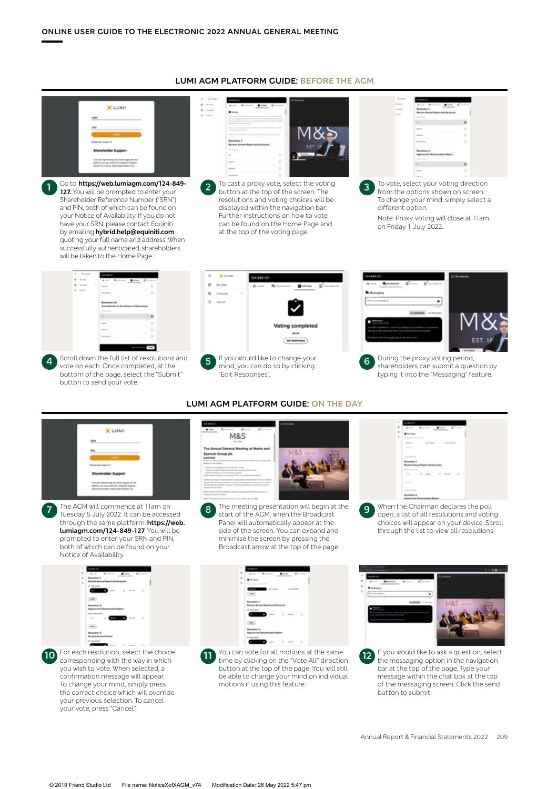in a



Go to **https://web.lumiagm.com/124-849- 127.** You will be prompted to enter your Shareholder Reference Number ("SRN") and PIN, both of which can be found on your Notice of Availability. If you do not have your SRN, please contact Equiniti by emailing **hybrid.help@equiniti.com** quoting your full name and address. When successfully authenticated, shareholders will be taken to the Home Page. **1**



To cast a proxy vote, select the voting button at the top of the screen. The resolutions and voting choices will be displayed within the navigation bar. Further instructions on how to vote can be found on the Home Page and at the top of the voting page. **2**

| <b>W</b> Looke          | 144011                                                                                                             |   |
|-------------------------|--------------------------------------------------------------------------------------------------------------------|---|
| --<br>$\sim$<br>$-4.05$ | Ante Romano, Balte, Browns<br><b>Benziellen 1:</b><br><b>Beauties Annual Bigsort and Accounts</b><br>Antonio Maria |   |
|                         | $10-1$                                                                                                             |   |
|                         | <b>Sentence</b>                                                                                                    | d |
|                         | <b>Hillard</b><br><b>AND A STATE OF THE</b>                                                                        | ö |
|                         | <b>Boremann</b> 1                                                                                                  | × |
|                         | <b>Benefiction 2:</b><br>Approve the Remuneration Reg<br>between the                                               |   |
|                         | ÷                                                                                                                  |   |
|                         | <b>Select</b>                                                                                                      | ö |
|                         | <b>STAND</b>                                                                                                       | w |

To vote, select your voting direction from the options shown on screen. To change your mind, simply select a different option.

**3**

Note: Proxy voting will close at 11am on Friday 1 July 2022.



Scroll down the full list of resolutions and bottom of the page, select the "Submit" button to send your vote.





During the proxy voting period, shareholders can submit a question by typing it into the "Messaging" feature.



The AGM will commence at 11am on Tuesday 5 July 2022. It can be accessed through the same platform: **https://web. lumiagm.com/124-849-127**. You will be prompted to enter your SRN and PIN, both of which can be found on your Notice of Availability.

**7**

| $\sim$ | <b>DEBRESS</b>                                   |
|--------|--------------------------------------------------|
| ÷      | Ave. Armore Coral & Country                      |
| ٠      | <b>Resolution 1:</b>                             |
| ×      | Receive Annual Report and Accounts               |
|        | the time motival                                 |
|        | <b>Common Common Common Common Common Common</b> |
|        | (m)                                              |
|        | <b>Resolution 2:</b>                             |
|        | Approve the Bernanovskies Report                 |
|        | <b>SERIE PRODUCT</b>                             |
|        | $\sim$ 0.000 $\sim$ 0.                           |
|        | (mn)                                             |
|        | <b>Brasileira</b> It                             |
|        | <b>Revised Archie Norman</b>                     |
|        | The Allen modern                                 |

For each resolution, select the choice corresponding with the way in which you wish to vote. When selected, a confirmation message will appear. To change your mind, simply press the correct choice which will override your previous selection. To cancel your vote, press "Cancel". **10**

#### **LUMI AGM PLATFORM GUIDE: ON THE DAY**



The meeting presentation will begin at the start of the AGM, when the Broadcast Panel will automatically appear at the side of the screen. You can expand and minimise the screen by pressing the Broadcast arrow at the top of the page. **8**



When the Chairman declares the poll open, a list of all resolutions and voting choices will appear on your device. Scroll through the list to view all resolutions. **9**



You can vote for all motions at the same time by clicking on the "Vote All" direction button at the top of the page. You will still be able to change your mind on individual motions if using this feature.

**11**



the messaging option in the navigation bar at the top of the page. Type your message within the chat box at the top of the messaging screen. Click the send button to submit. **12**

#### **LUMI AGM PLATFORM GUIDE: BEFORE THE AGM**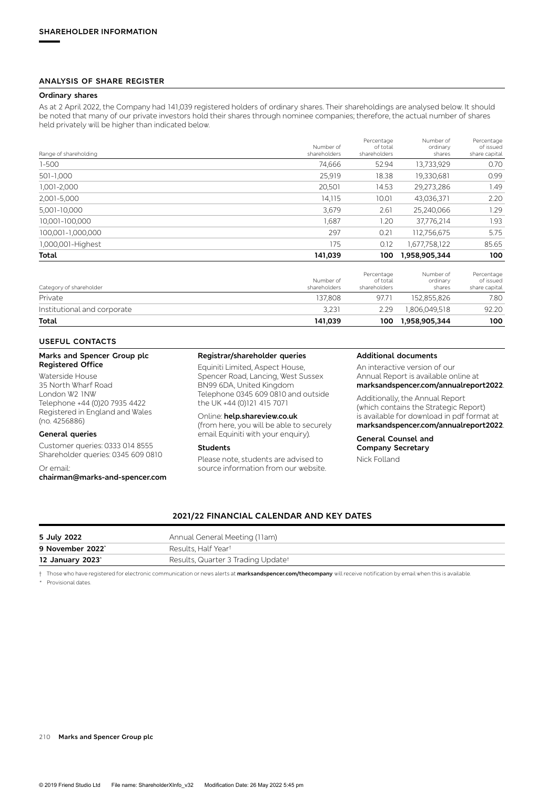#### **ANALYSIS OF SHARE REGISTER**

#### **Ordinary shares**

As at 2 April 2022, the Company had 141,039 registered holders of ordinary shares. Their shareholdings are analysed below. It should be noted that many of our private investors hold their shares through nominee companies; therefore, the actual number of shares held privately will be higher than indicated below.

| Range of shareholding       | Number of<br>shareholders | Percentage<br>of total<br>shareholders | Number of<br>ordinary<br>shares | Percentage<br>of issued<br>share capital |
|-----------------------------|---------------------------|----------------------------------------|---------------------------------|------------------------------------------|
| $1 - 500$                   | 74,666                    | 52.94                                  | 13,733,929                      | 0.70                                     |
| 501-1,000                   | 25,919                    | 18.38                                  | 19,330,681                      | 0.99                                     |
| 1,001-2,000                 | 20,501                    | 14.53                                  | 29,273,286                      | 1.49                                     |
| 2,001-5,000                 | 14,115                    | 10.01                                  | 43,036,371                      | 2.20                                     |
| 5,001-10,000                | 3,679                     | 2.61                                   | 25,240,066                      | 1.29                                     |
| 10,001-100,000              | 1,687                     | 1.20                                   | 37,776,214                      | 1.93                                     |
| 100,001-1,000,000           | 297                       | 0.21                                   | 112,756,675                     | 5.75                                     |
| 1,000,001-Highest           | 175                       | 0.12                                   | 1,677,758,122                   | 85.65                                    |
| Total                       | 141,039                   | 100                                    | 1,958,905,344                   | 100                                      |
| Category of shareholder     | Number of<br>shareholders | Percentage<br>of total<br>shareholders | Number of<br>ordinary<br>shares | Percentage<br>of issued<br>share capital |
| Private                     | 137,808                   | 97.71                                  | 152,855,826                     | 7.80                                     |
| Institutional and corporate | 3.231                     | 2.29                                   | .806.049.518                    | 92.20                                    |

| Total<br>. |  |  |
|------------|--|--|
|            |  |  |

#### **USEFUL CONTACTS**

#### **Marks and Spencer Group plc Registered Office**

Waterside House 35 North Wharf Road London W2 1NW Telephone +44 (0)20 7935 4422 Registered in England and Wales (no. 4256886)

#### **General queries**

Customer queries: 0333 014 8555 Shareholder queries: 0345 609 0810

#### Or email:

**chairman@marks-and-spencer.com** 

#### **Registrar/shareholder queries**

Equiniti Limited, Aspect House, Spencer Road, Lancing, West Sussex BN99 6DA, United Kingdom Telephone 0345 609 0810 and outside the UK +44 (0)121 415 7071

#### Online: **help.shareview.co.uk**

(from here, you will be able to securely email Equiniti with your enquiry).

#### **Students**

Please note, students are advised to source information from our website.

#### **Additional documents**

**Total 141,039 100 1,958,905,344 100**

An interactive version of our Annual Report is available online at **marksandspencer.com/annualreport2022**.

Additionally, the Annual Report (which contains the Strategic Report) is available for download in pdf format at **marksandspencer.com/annualreport2022**.

#### **General Counsel and Company Secretary**  Nick Folland

#### **2021/22 FINANCIAL CALENDAR AND KEY DATES**

| 5 July 2022                  | Annual General Meeting (11am)      |
|------------------------------|------------------------------------|
| 9 November 2022 <sup>*</sup> | Results. Half Year†                |
| 12 January 2023 <sup>*</sup> | Results, Quarter 3 Trading Updatet |

† Those who have registered for electronic communication or news alerts at **marksandspencer.com/thecompany** will receive notification by email when this is available.

Provisional dates.